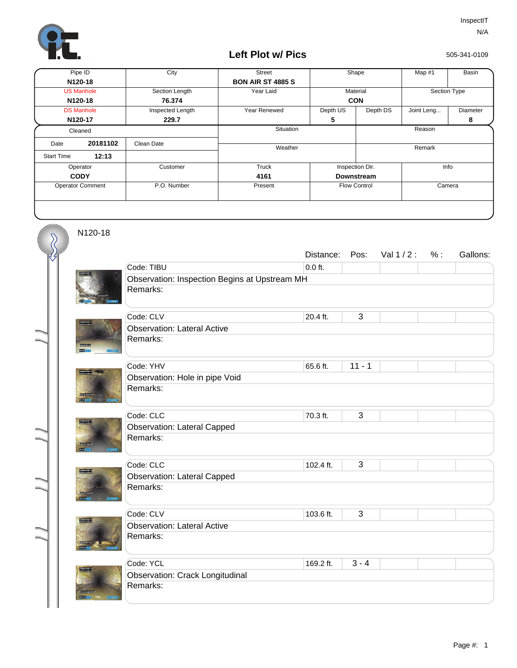

## **Left Plot w/ Pics**

505-341-0109

| Pipe ID                 |          | City             | <b>Street</b>            | Shape               |                         | Map #1       | Basin    |
|-------------------------|----------|------------------|--------------------------|---------------------|-------------------------|--------------|----------|
| N120-18                 |          |                  | <b>BON AIR ST 4885 S</b> |                     |                         |              |          |
| <b>US Manhole</b>       |          | Section Length   | Year Laid                | Material            |                         | Section Type |          |
| N120-18                 |          | 76.374           |                          | <b>CON</b>          |                         |              |          |
| <b>DS Manhole</b>       |          | Inspected Length | Year Renewed             | Depth US            | Depth DS                | Joint Leng   | Diameter |
| N120-17                 |          | 229.7            |                          | 5                   |                         |              | 8        |
| Cleaned                 |          |                  | Situation                | Reason              |                         |              |          |
| Date                    | 20181102 | Clean Date       | Weather                  |                     |                         | Remark       |          |
| <b>Start Time</b>       | 12:13    |                  |                          |                     |                         |              |          |
| Operator                |          | Customer         | <b>Truck</b>             |                     | Info<br>Inspection Dir. |              |          |
| <b>CODY</b>             |          |                  | 4161                     |                     | <b>Downstream</b>       |              |          |
| <b>Operator Comment</b> |          | P.O. Number      | Present                  | <b>Flow Control</b> |                         | Camera       |          |
|                         |          |                  |                          |                     |                         |              |          |

N120-18

 $\overline{\mathcal{S}}$ 

|                                |                                               | Distance: | Pos:           | Val $1/2$ : | % : | Gallons: |  |  |  |
|--------------------------------|-----------------------------------------------|-----------|----------------|-------------|-----|----------|--|--|--|
|                                | Code: TIBU                                    | $0.0$ ft. |                |             |     |          |  |  |  |
|                                | Observation: Inspection Begins at Upstream MH |           |                |             |     |          |  |  |  |
|                                | Remarks:                                      |           |                |             |     |          |  |  |  |
|                                |                                               |           |                |             |     |          |  |  |  |
|                                | Code: CLV                                     | 20.4 ft.  | $\overline{3}$ |             |     |          |  |  |  |
|                                | <b>Observation: Lateral Active</b>            |           |                |             |     |          |  |  |  |
| <b>Rotatio</b>                 | Remarks:                                      |           |                |             |     |          |  |  |  |
|                                | Code: YHV                                     | 65.6 ft.  | $11 - 1$       |             |     |          |  |  |  |
|                                | Observation: Hole in pipe Void                |           |                |             |     |          |  |  |  |
| <b>Exemploye</b>               | Remarks:                                      |           |                |             |     |          |  |  |  |
|                                |                                               |           |                |             |     |          |  |  |  |
|                                | Code: CLC                                     | 70.3 ft.  | 3              |             |     |          |  |  |  |
|                                | <b>Observation: Lateral Capped</b>            |           |                |             |     |          |  |  |  |
| some cree                      | Remarks:                                      |           |                |             |     |          |  |  |  |
| <b>ROBERT</b>                  |                                               |           |                |             |     |          |  |  |  |
| 2530 M 21123.1<br>350 M 3150 M | Code: CLC                                     | 102.4 ft. | 3              |             |     |          |  |  |  |
|                                | <b>Observation: Lateral Capped</b>            |           |                |             |     |          |  |  |  |
|                                | Remarks:                                      |           |                |             |     |          |  |  |  |
| rang                           |                                               |           |                |             |     |          |  |  |  |
|                                | Code: CLV                                     | 103.6 ft. | 3              |             |     |          |  |  |  |
| <b>Maritim</b>                 | <b>Observation: Lateral Active</b>            |           |                |             |     |          |  |  |  |
|                                | Remarks:                                      |           |                |             |     |          |  |  |  |
|                                |                                               |           |                |             |     |          |  |  |  |
|                                | Code: YCL                                     | 169.2 ft. | $3 - 4$        |             |     |          |  |  |  |
|                                | <b>Observation: Crack Longitudinal</b>        |           |                |             |     |          |  |  |  |
|                                | Remarks:                                      |           |                |             |     |          |  |  |  |
| <b>STERN</b>                   |                                               |           |                |             |     |          |  |  |  |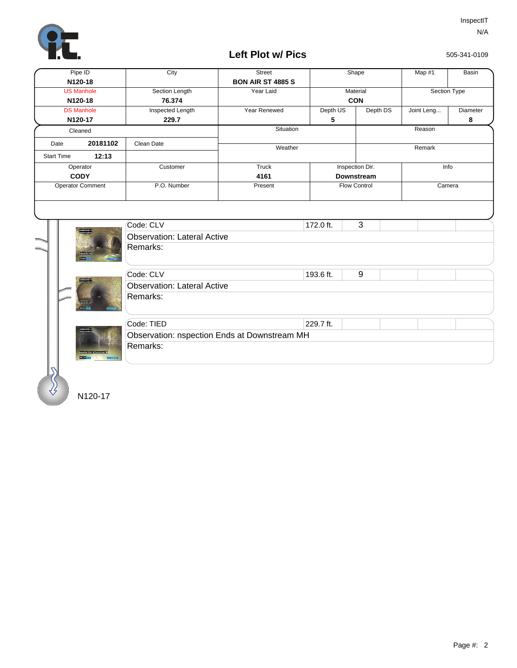

## **Left Plot w/ Pics**

505-341-0109

| Pipe ID                 |                   | City                                                        | Street                   |                   | Shape                   | Map #1       | Basin         |  |  |
|-------------------------|-------------------|-------------------------------------------------------------|--------------------------|-------------------|-------------------------|--------------|---------------|--|--|
| N120-18                 |                   |                                                             | <b>BON AIR ST 4885 S</b> |                   |                         |              |               |  |  |
| <b>US Manhole</b>       |                   | Section Length                                              | Year Laid                | Material          |                         | Section Type |               |  |  |
| N120-18                 |                   | 76.374                                                      |                          | <b>CON</b>        |                         |              |               |  |  |
| <b>DS Manhole</b>       |                   | Inspected Length                                            | Year Renewed             | Depth US          | Depth DS                | Joint Leng   | Diameter<br>8 |  |  |
| N120-17                 |                   | 229.7                                                       | Situation                | 5                 | Reason                  |              |               |  |  |
| Cleaned                 |                   |                                                             |                          |                   |                         |              |               |  |  |
| 20181102<br>Date        |                   | Clean Date                                                  | Weather                  |                   |                         | Remark       |               |  |  |
| <b>Start Time</b>       | 12:13             |                                                             |                          |                   |                         |              |               |  |  |
| Operator                |                   | Customer                                                    | Truck                    |                   | Inspection Dir.<br>Info |              |               |  |  |
| <b>CODY</b>             |                   |                                                             | 4161                     | <b>Downstream</b> |                         |              |               |  |  |
| <b>Operator Comment</b> |                   | P.O. Number                                                 | Present                  |                   | Flow Control<br>Camera  |              |               |  |  |
|                         | <b>CONTRACTOR</b> | Code: CLV<br><b>Observation: Lateral Active</b><br>Remarks: |                          | 172.0 ft.         | 3                       |              |               |  |  |
|                         |                   | Code: CLV                                                   |                          | 193.6 ft.         | 9                       |              |               |  |  |
|                         |                   | <b>Observation: Lateral Active</b>                          |                          |                   |                         |              |               |  |  |
|                         |                   | Remarks:                                                    |                          |                   |                         |              |               |  |  |
|                         |                   | Code: TIED                                                  |                          | 229.7 ft.         |                         |              |               |  |  |
|                         |                   | Observation: nspection Ends at Downstream MH                |                          |                   |                         |              |               |  |  |
|                         |                   | Remarks:                                                    |                          |                   |                         |              |               |  |  |
|                         |                   |                                                             |                          |                   |                         |              |               |  |  |

N120-17

∛